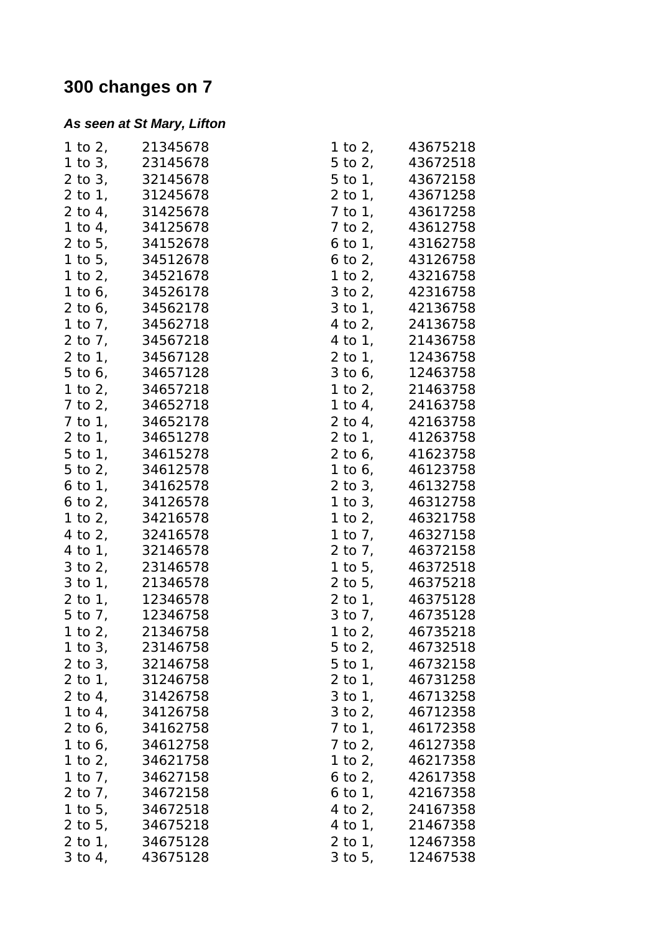## **300 changes on 7**

## *As seen at St Mary, Lifton*

|              | 1 to 2, 21345678 |              | 1 to 2, 43675218                   |
|--------------|------------------|--------------|------------------------------------|
|              | 1 to 3, 23145678 |              | 5 to 2, 43672518                   |
|              | 2 to 3, 32145678 |              | 5 to 1, 43672158                   |
| 2 to 1,      | 31245678         |              | 2 to 1, 43671258                   |
|              | 2 to 4, 31425678 |              | 7 to 1, 43617258                   |
|              | 1 to 4, 34125678 |              | 7 to 2, 43612758                   |
|              | 2 to 5, 34152678 |              | 6 to 1, 43162758                   |
|              | 1 to 5, 34512678 |              | 6 to 2, $43126758$                 |
|              | 1 to 2, 34521678 |              | 1 to 2, 43216758                   |
|              | 1 to 6, 34526178 |              | 3 to 2, 42316758                   |
|              | 2 to 6, 34562178 |              | 3 to 1, 42136758                   |
|              | 1 to 7, 34562718 |              | 4 to 2, 24136758                   |
|              | 2 to 7, 34567218 |              | 4 to 1, 21436758                   |
|              | 2 to 1, 34567128 |              | 2 to 1, 12436758                   |
|              | 5 to 6, 34657128 |              | 3 to 6, 12463758                   |
|              | 1 to 2, 34657218 |              | 1 to 2, 21463758                   |
|              | 7 to 2, 34652718 |              | 1 to 4, 24163758                   |
|              | 7 to 1, 34652178 |              | 2 to 4, 42163758                   |
|              | 2 to 1, 34651278 |              | 2 to 1, 41263758                   |
| $5$ to $1$ , | 34615278         |              | 2 to 6, 41623758                   |
|              |                  |              | 1 to 6, 46123758                   |
|              | 5 to 2, 34612578 |              |                                    |
|              | 6 to 1, 34162578 |              | 2 to 3, 46132758                   |
|              | 6 to 2, 34126578 |              | 1 to 3, 46312758                   |
|              | 1 to 2, 34216578 |              | 1 to 2, 46321758                   |
| 4 to 2,      | 32416578         | 1 to $71$    | 46327158                           |
|              | 4 to 1, 32146578 | $2$ to $7$ , | 46372158                           |
|              | 3 to 2, 23146578 |              | 1 to 5, 46372518                   |
|              | 3 to 1, 21346578 |              | 2 to 5, 46375218                   |
|              | 2 to 1, 12346578 |              | 2 to 1, 46375128                   |
|              | 5 to 7, 12346758 |              | 3 to 7, 46735128                   |
| 1 to 2,      | 21346758         |              | 1 to 2, 46735218                   |
|              | 1 to 3, 23146758 |              | $5 \text{ to } 2, \qquad 46732518$ |
|              | 2 to 3, 32146758 |              | 5 to 1, 46732158                   |
|              | 2 to 1, 31246758 |              | 2 to 1, 46731258                   |
|              | 2 to 4, 31426758 |              | 3 to 1, 46713258                   |
|              | 1 to 4, 34126758 |              | 3 to 2, 46712358                   |
|              | 2 to 6, 34162758 |              | 7 to 1, 46172358                   |
|              | 1 to 6, 34612758 |              | 7 to 2, 46127358                   |
|              | 1 to 2, 34621758 |              | 1 to 2, 46217358                   |
|              | 1 to 7, 34627158 |              | 6 to 2, $42617358$                 |
|              | 2 to 7, 34672158 |              | 6 to 1, 42167358                   |
|              | 1 to 5, 34672518 |              | 4 to 2, 24167358                   |
|              | 2 to 5, 34675218 |              | 4 to 1, 21467358                   |
|              | 2 to 1, 34675128 |              | 2 to 1, 12467358                   |
|              | 3 to 4, 43675128 |              | 3 to 5, 12467538                   |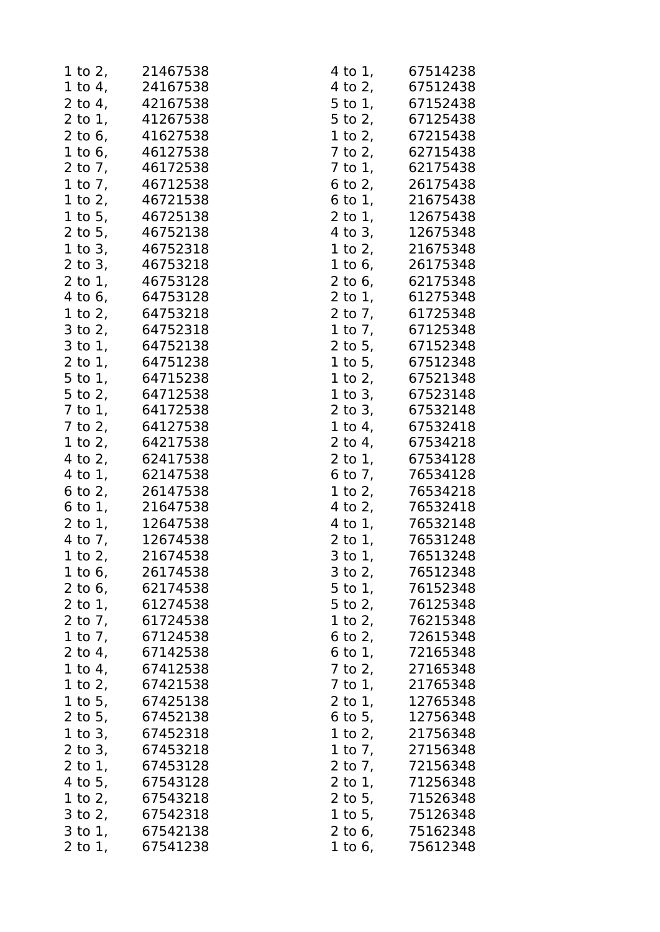|                        | 1 to 2, 21467538   |              | 4 to 1, 67514238   |
|------------------------|--------------------|--------------|--------------------|
|                        | 1 to 4, 24167538   |              | 4 to 2, 67512438   |
|                        | 2 to 4, 42167538   |              | 5 to 1, 67152438   |
|                        | 2 to 1, 41267538   | $5$ to $2$ , | 67125438           |
|                        | 2 to 6, 41627538   | 1 to $2,$    | 67215438           |
|                        | 1 to 6, 46127538   |              | 7 to 2, 62715438   |
|                        | 2 to 7, 46172538   |              | 7 to 1, 62175438   |
|                        | 1 to 7, 46712538   | $6$ to $2$ , | 26175438           |
|                        | 1 to 2, 46721538   |              | 6 to 1, $21675438$ |
|                        | 1 to 5, 46725138   |              | 2 to 1, 12675438   |
|                        | 2 to 5, 46752138   |              | 4 to 3, 12675348   |
| $1$ to $3$ ,           | 46752318           |              | 1 to 2, 21675348   |
|                        | 2 to 3, 46753218   |              | 1 to 6, 26175348   |
|                        | 2 to 1, 46753128   |              | 2 to 6, 62175348   |
|                        | 4 to 6, 64753128   |              | 2 to 1, 61275348   |
|                        | 1 to 2, 64753218   |              | 2 to 7, 61725348   |
|                        | 3 to 2, 64752318   |              | 1 to 7, 67125348   |
|                        | 3 to 1, 64752138   | $2$ to 5,    | 67152348           |
|                        | 2 to 1, 64751238   |              | 1 to 5, 67512348   |
|                        | 5 to 1, 64715238   |              | 1 to 2, 67521348   |
| $5$ to $2$ ,           | 64712538           |              | 1 to 3, 67523148   |
|                        | 7 to 1, 64172538   |              | 2 to 3, 67532148   |
|                        | 7 to 2, 64127538   |              | 1 to 4, 67532418   |
|                        | 1 to 2, 64217538   |              | 2 to 4, 67534218   |
|                        | 4 to 2, 62417538   |              | 2 to 1, 67534128   |
|                        | 4 to 1, 62147538   |              | 6 to 7, 76534128   |
|                        | 6 to 2, 26147538   | 1 to $2,$    | 76534218           |
|                        | 6 to 1, 21647538   |              | 4 to 2, 76532418   |
|                        | 2 to 1, 12647538   |              | 4 to 1, 76532148   |
|                        | 4 to 7, $12674538$ |              | 2 to 1, 76531248   |
| 1 to 2, $\overline{a}$ | 21674538           | 3 to 1,      | 76513248           |
|                        | 1 to 6, 26174538   |              | 3 to 2, 76512348   |
| 2 to $6,$              | 62174538           |              | 5 to 1, 76152348   |
| 2 to $1$ ,             | 61274538           | $5$ to $2$ , | 76125348           |
| 2 to $71$              | 61724538           | 1 to $2,$    | 76215348           |
| 1 to 7, $\overline{a}$ | 67124538           |              | 6 to 2, 72615348   |
| 2 to 4,                | 67142538           |              | 6 to 1, 72165348   |
| 1 to 4,                | 67412538           | 7 to 2,      | 27165348           |
| 1 to $2,$              | 67421538           | 7 to 1,      | 21765348           |
|                        | 1 to 5, 67425138   | $2$ to $1$ , | 12765348           |
|                        | 2 to 5, 67452138   |              | 6 to 5, 12756348   |
| 1 to $3,$              | 67452318           | 1 to 2,      | 21756348           |
| $2$ to $3$ ,           | 67453218           | 1 to 7,      | 27156348           |
| $2$ to $1$ ,           | 67453128           | 2 to $71$    | 72156348           |
|                        | 4 to 5, 67543128   |              | 2 to 1, 71256348   |
| 1 to 2,                | 67543218           | 2 to 5,      | 71526348           |
| $3$ to $2$ ,           | 67542318           | 1 to 5,      | 75126348           |
| $3$ to $1$ ,           | 67542138           | $2$ to 6,    | 75162348           |
| $2$ to $1$ ,           | 67541238           | 1 to 6,      | 75612348           |
|                        |                    |              |                    |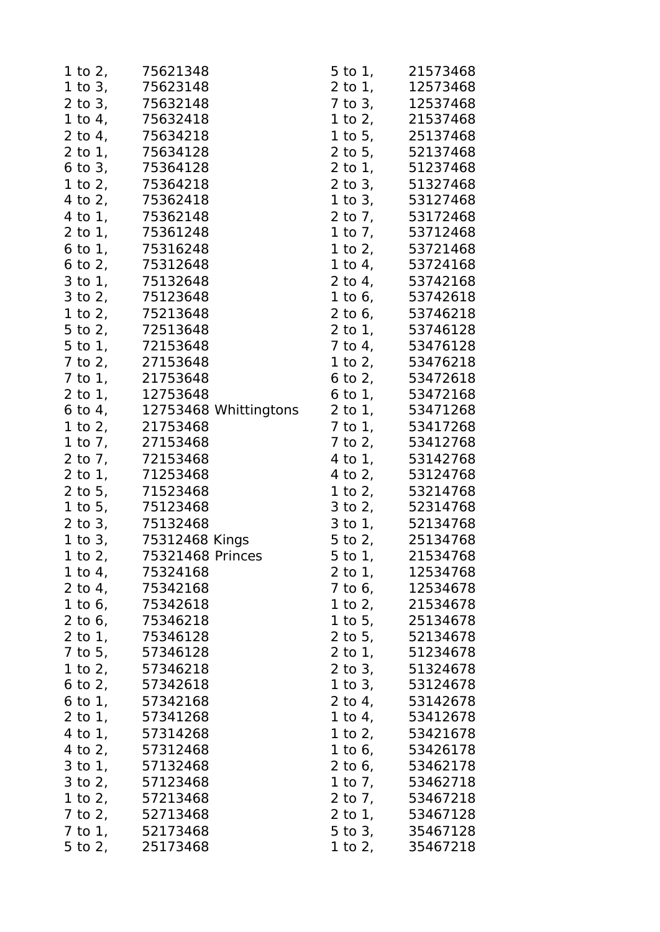| 1 to 2,              | 75621348                                  | $5$ to $1$ ,           | 21573468                     |
|----------------------|-------------------------------------------|------------------------|------------------------------|
|                      | 1 to 3, 75623148                          |                        | 2 to 1, 12573468             |
|                      | 2 to 3, 75632148                          | $7$ to $3$ ,           | 12537468                     |
|                      | 1 to 4, 75632418                          | 1 to $2,$              | 21537468                     |
| 2 to 4,              | 75634218                                  | $1$ to $5$ ,           | 25137468                     |
|                      | 2 to 1, 75634128                          |                        | 2 to 5, 52137468             |
|                      | 6 to 3, 75364128                          |                        | 2 to 1, 51237468             |
|                      | 1 to 2, 75364218                          |                        | 2 to 3, 51327468             |
|                      | 4 to 2, 75362418                          |                        | 1 to 3, 53127468             |
| 4 to 1,              | 75362148                                  |                        | 2 to 7, 53172468             |
|                      | 2 to 1, 75361248                          |                        | 1 to 7, 53712468             |
| $6$ to $1$ ,         | 75316248                                  |                        | 1 to 2, 53721468             |
| 6 to 2,              | 75312648                                  |                        | 1 to 4, 53724168             |
| $3$ to $1$ ,         | 75132648                                  | $2$ to $4$ ,           | 53742168                     |
|                      | 3 to 2, 75123648                          |                        | 1 to 6, 53742618             |
|                      | 1 to 2, 75213648                          |                        | 2 to 6, 53746218             |
| 5 to 2,              | 72513648                                  |                        | 2 to 1, 53746128             |
| $5$ to $1$ ,         | 72153648                                  |                        | 7 to 4, 53476128             |
| $7$ to $2$ ,         | 27153648                                  |                        | 1 to 2, 53476218             |
|                      | 7 to 1, 21753648                          |                        | 6 to 2, 53472618             |
| $2$ to $1$ ,         |                                           |                        | 6 to 1, 53472168             |
|                      | 12753648<br>6 to 4, 12753468 Whittingtons |                        | 2 to 1, 53471268             |
| 1 to $2,$            | 21753468                                  | $7$ to $1$ ,           | 53417268                     |
|                      | 1 to 7, 27153468                          |                        | 7 to 2, 53412768             |
|                      | 2 to 7, 72153468                          |                        | 4 to 1, 53142768             |
| 2 to 1,              | 71253468                                  |                        | 4 to 2, 53124768             |
|                      | 2 to 5, 71523468                          | 1 to $2,$              | 53214768                     |
|                      | 1 to 5, 75123468                          |                        | 3 to 2, 52314768             |
|                      | 2 to 3, 75132468                          |                        | 3 to 1, 52134768             |
|                      | 1 to 3, 75312468 Kings                    |                        | 5 to 2, 25134768             |
|                      |                                           |                        | 21534768                     |
| 1 to $21$            | 75321468 Princes<br>1 to 4, 75324168      | 5 to 1,                | 2 to 1, 12534768             |
| 2 to 4,              | 75342168                                  | $7$ to 6,              | 12534678                     |
|                      |                                           |                        |                              |
| 1 to 6,<br>$2$ to 6, | 75342618                                  | 1 to $2,$              | 21534678                     |
|                      | 75346218<br>2 to 1, 75346128              | 1 to $5,$              | 25134678<br>2 to 5, 52134678 |
|                      |                                           |                        |                              |
|                      | 7 to 5, 57346128                          | 2 to 1,                | 51234678                     |
|                      | 1 to 2, 57346218                          |                        | 2 to 3, 51324678             |
|                      | 6 to 2, $57342618$                        | $1$ to $3$ ,           | 53124678                     |
| $6$ to $1,$          | 57342168                                  | 2 to $4,$              | 53142678                     |
|                      | 2 to 1, 57341268                          |                        | 1 to 4, 53412678             |
| 4 to $1,$            | 57314268                                  | 1 to $2,$              | 53421678                     |
| 4 to 2,              | 57312468                                  | 1 to 6,                | 53426178                     |
| 3 to 1,              | 57132468                                  | 2 to $6,$              | 53462178                     |
|                      | 3 to 2, 57123468                          | 1 to 7, $\overline{a}$ | 53462718                     |
|                      | 1 to 2, 57213468                          | 2 to $71$              | 53467218                     |
| 7 to 2,              | 52713468                                  | 2 to 1,                | 53467128                     |
| 7 to 1,              | 52173468                                  | $5$ to $3$ ,           | 35467128                     |
| 5 to 2,              | 25173468                                  | 1 to 2,                | 35467218                     |